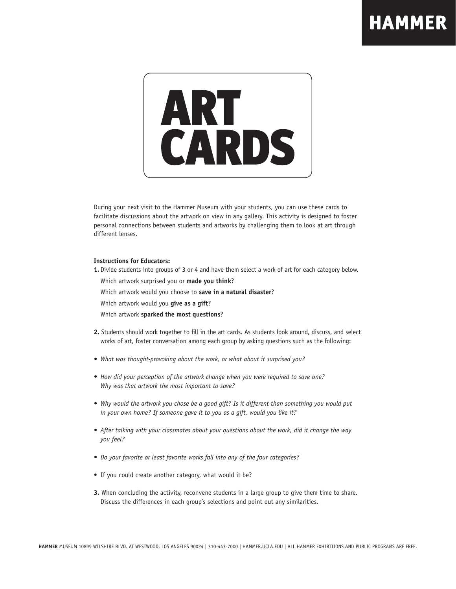

During your next visit to the Hammer Museum with your students, you can use these cards to facilitate discussions about the artwork on view in any gallery. This activity is designed to foster personal connections between students and artworks by challenging them to look at art through different lenses.

## **Instructions for Educators:**

**1.** Divide students into groups of 3 or 4 and have them select a work of art for each category below.

Which artwork surprised you or **made you think**?

Which artwork would you choose to **save in a natural disaster**?

Which artwork would you **give as a gift**?

Which artwork **sparked the most questions**?

- **2.** Students should work together to fill in the art cards. As students look around, discuss, and select works of art, foster conversation among each group by asking questions such as the following:
- *• What was thought-provoking about the work, or what about it surprised you?*
- *• How did your perception of the artwork change when you were required to save one? Why was that artwork the most important to save?*
- *• Why would the artwork you chose be a good gift? Is it different than something you would put in your own home? If someone gave it to you as a gift, would you like it?*
- *• After talking with your classmates about your questions about the work, did it change the way you feel?*
- *• Do your favorite or least favorite works fall into any of the four categories?*
- If you could create another category, what would it be?
- **3.** When concluding the activity, reconvene students in a large group to give them time to share. Discuss the differences in each group's selections and point out any similarities.